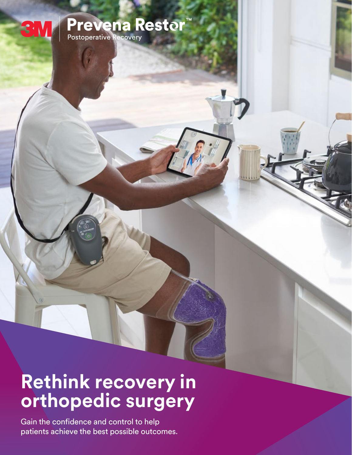# **Prevena Restor**<br>Postoperative Recovery

**Rethink recovery in orthopedic surgery**

Gain the confidence and control to help patients achieve the best possible outcomes.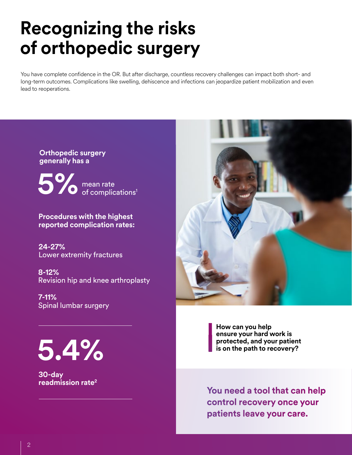## **Recognizing the risks of orthopedic surgery**

You have complete confidence in the OR. But after discharge, countless recovery challenges can impact both short- and long-term outcomes. Complications like swelling, dehiscence and infections can jeopardize patient mobilization and even lead to reoperations.

**Orthopedic surgery generally has a** 

mean rate **5%** mean rate<br>of complications<sup>1</sup>

**Procedures with the highest reported complication rates:**

**24-27%**  Lower extremity fractures

**8-12%** Revision hip and knee arthroplasty

**7-11%** Spinal lumbar surgery

**5.4%**

**30-day readmission rate2**



**How can you help ensure your hard work is protected, and your patient is on the path to recovery?**

**You need a tool that can help control recovery once your patients leave your care.**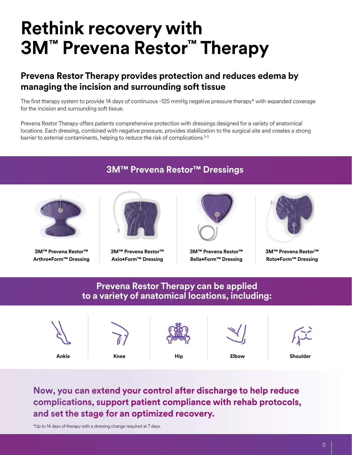## **Rethink recovery with 3M™ Prevena Restor™ Therapy**

### **Prevena Restor Therapy provides protection and reduces edema by managing the incision and surrounding soft tissue**

The first therapy system to provide 14 days of continuous -125 mmHg negative pressure therapy\* with expanded coverage for the incision and surrounding soft tissue.

Prevena Restor Therapy offers patients comprehensive protection with dressings designed for a variety of anatomical locations. Each dressing, combined with negative pressure, provides stabilization to the surgical site and creates a strong barrier to external contaminants, helping to reduce the risk of complications.<sup>3-5</sup>

#### **3M™ Prevena Restor™ Dressings**



**3M™ Prevena Restor™ Arthro•Form™ Dressing**



**3M™ Prevena Restor™ Axio•Form™ Dressing**



**3M™ Prevena Restor™ Bella•Form™ Dressing**



**3M™ Prevena Restor™ Roto•Form™ Dressing**

#### **Prevena Restor Therapy can be applied to a variety of anatomical locations, including:**



**Now, you can extend your control after discharge to help reduce complications, support patient compliance with rehab protocols, and set the stage for an optimized recovery.**

\*Up to 14 days of therapy with a dressing change required at 7 days.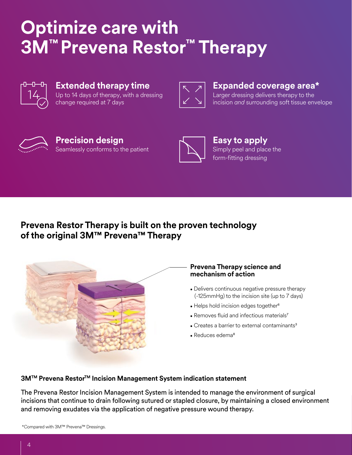## **Optimize care with 3M™ Prevena Restor™ Therapy**



#### **Extended therapy time** Up to 14 days of therapy, with a dressing change required at 7 days



#### **Expanded coverage area\***

Larger dressing delivers therapy to the incision *and* surrounding soft tissue envelope



#### **Precision design** Seamlessly conforms to the patient



**Easy to apply** Simply peel and place the form-fitting dressing

### **Prevena Restor Therapy is built on the proven technology of the original 3M™ Prevena™ Therapy**



#### **Prevena Therapy science and mechanism of action**

- Delivers continuous negative pressure therapy (-125mmHg) to the incision site (up to 7 days)
- Helps hold incision edges together<sup>6</sup>
- Removes fluid and infectious materials<sup>7</sup>
- Creates a barrier to external contaminants3
- Reduces edema<sup>8</sup>

#### **3M™ Prevena Restor™ Incision Management System indication statement**

The Prevena Restor Incision Management System is intended to manage the environment of surgical incisions that continue to drain following sutured or stapled closure, by maintaining a closed environment and removing exudates via the application of negative pressure wound therapy.

\*Compared with 3M™ Prevena™ Dressings.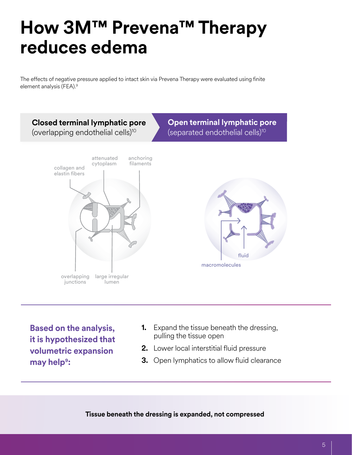## **How 3M™ Prevena™ Therapy reduces edema**

The effects of negative pressure applied to intact skin via Prevena Therapy were evaluated using finite element analysis (FEA).9



**Based on the analysis, it is hypothesized that volumetric expansion may help**9**:**

- **1.** Expand the tissue beneath the dressing, pulling the tissue open
- **2.** Lower local interstitial fluid pressure
- **3.** Open lymphatics to allow fluid clearance

**Tissue beneath the dressing is expanded, not compressed**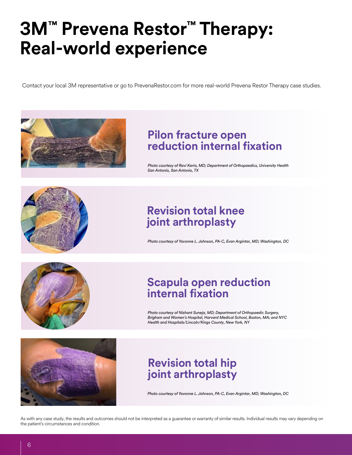## **3M™ Prevena Restor™ Therapy: Real-world experience**

Contact your local 3M representative or go to PrevenaRestor.com for more real-world Prevena Restor Therapy case studies.



### **Pilon fracture open reduction internal fixation**

*Photo courtesy of Ravi Karia, MD; Department of Orthopaedics, University Health San Antonio, San Antonio, TX*



### **Revision total knee joint arthroplasty**

*Photo courtesy of Yavonne L. Johnson, PA-C, Evan Argintar, MD; Washington, DC*



### **Scapula open reduction internal fixation**

*Photo courtesy of Nishant Suneja, MD; Department of Orthopaedic Surgery, Brigham and Women's Hospital, Harvard Medical School, Boston, MA; and NYC Health and Hospitals/Lincoln/Kings County, New York, NY*



### **Revision total hip joint arthroplasty**

*Photo courtesy of Yavonne L. Johnson, PA-C, Evan Argintar, MD; Washington, DC*

As with any case study, the results and outcomes should not be interpreted as a guarantee or warranty of similar results. Individual results may vary depending on the patient's circumstances and condition.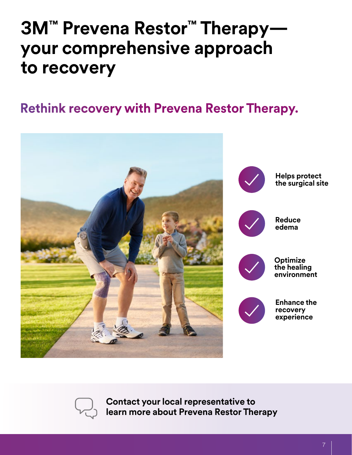## **3M™ Prevena Restor™ Therapy your comprehensive approach to recovery**

## **Rethink recovery with Prevena Restor Therapy.**





**Contact your local representative to learn more about Prevena Restor Therapy**